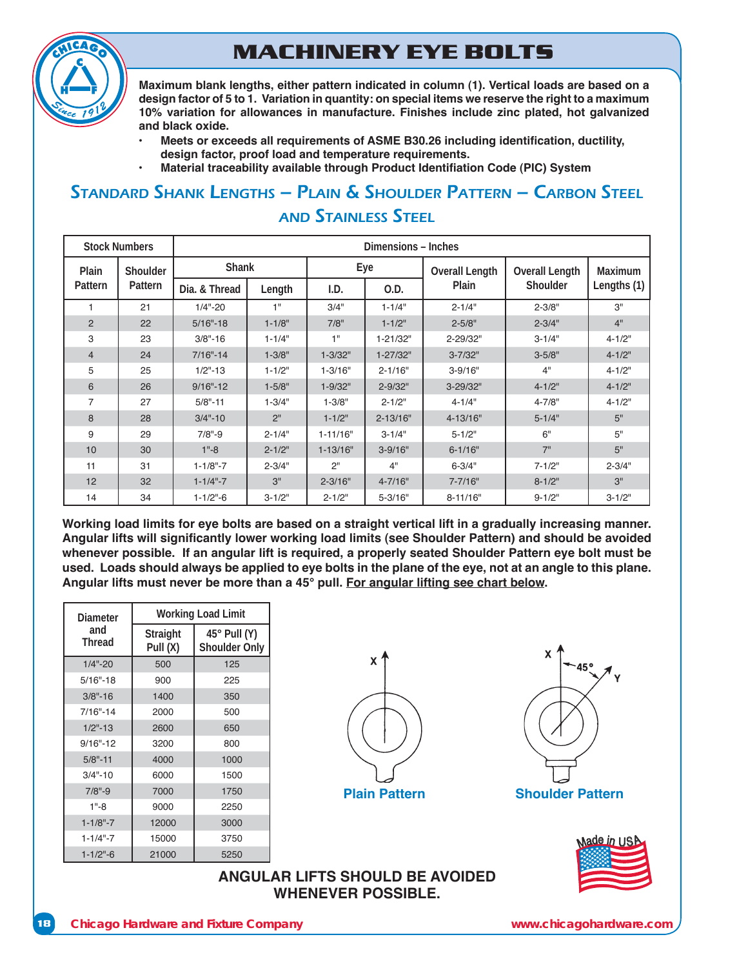# **MACHINERY EYE BOLTS**



Maximum blank lengths, either pattern indicated in column (1). Vertical loads are based on a design factor of 5 to 1. Variation in quantity: on special items we reserve the right to a maximum 10% variation for allowances in manufacture. Finishes include zinc plated, hot galvanized **and black oxide.** 

- **Meets or exceeds all requirements of ASME B30.26 including identification, ductility,** design factor, proof load and temperature requirements.
- **Material traceability available through Product Identifiation Code (PIC) System**

## STANDARD SHANK LENGTHS – PLAIN & SHOULDER PATTERN – CARBON STEEL **AND STAINLESS STEFL**

| <b>Stock Numbers</b> |          |                |                 | Dimensions - Inches |              |                       |                       |             |
|----------------------|----------|----------------|-----------------|---------------------|--------------|-----------------------|-----------------------|-------------|
| Plain                | Shoulder | <b>Shank</b>   |                 |                     | Eye          | <b>Overall Length</b> | <b>Overall Length</b> | Maximum     |
| Pattern              | Pattern  | Dia. & Thread  | Length          | I.D.                | O.D.         | Plain                 | Shoulder              | Lengths (1) |
|                      | 21       | $1/4" - 20$    | 1"              | 3/4"                | $1 - 1/4"$   | $2 - 1/4"$            | $2 - 3/8"$            | 3"          |
| $\overline{2}$       | 22       | $5/16" - 18$   | $1 - 1/8"$      | 7/8"                | $1 - 1/2"$   | $2 - 5/8"$            | $2 - 3/4"$            | 4"          |
| 3                    | 23       | $3/8" - 16$    | $1 - 1/4"$      | 1"                  | 1-21/32"     | 2-29/32"              | $3 - 1/4"$            | $4 - 1/2"$  |
| $\overline{4}$       | 24       | $7/16" - 14$   | $1 - 3/8"$      | $1 - 3/32"$         | $1 - 27/32"$ | $3 - 7/32"$           | $3 - 5/8"$            | $4 - 1/2"$  |
| 5                    | 25       | $1/2" - 13$    | $1 - 1/2"$      | $1 - 3/16"$         | $2 - 1/16"$  | $3 - 9/16"$           | 4"                    | $4 - 1/2"$  |
| 6                    | 26       | $9/16" - 12$   | $1 - 5/8"$      | $1 - 9/32"$         | $2 - 9/32"$  | 3-29/32"              | $4 - 1/2"$            | $4 - 1/2"$  |
| 7                    | 27       | $5/8" - 11$    | $1 - 3/4"$      | $1 - 3/8"$          | $2 - 1/2"$   | $4 - 1/4"$            | $4 - 7/8"$            | $4 - 1/2"$  |
| 8                    | 28       | $3/4" - 10$    | 2 <sup>11</sup> | $1 - 1/2$ "         | $2 - 13/16"$ | 4-13/16"              | $5 - 1/4"$            | 5"          |
| 9                    | 29       | $7/8" - 9$     | $2 - 1/4"$      | $1 - 11/16"$        | $3 - 1/4"$   | $5 - 1/2"$            | 6"                    | 5"          |
| 10                   | 30       | $1" - 8$       | $2 - 1/2"$      | $1 - 13/16"$        | $3 - 9/16"$  | $6 - 1/16"$           | 7"                    | 5"          |
| 11                   | 31       | $1 - 1/8" - 7$ | $2 - 3/4"$      | 2"                  | 4"           | $6 - 3/4"$            | $7 - 1/2"$            | $2 - 3/4"$  |
| 12                   | 32       | $1 - 1/4" - 7$ | 3"              | $2 - 3/16"$         | $4 - 7/16"$  | $7 - 7/16"$           | $8 - 1/2"$            | 3"          |
| 14                   | 34       | $1 - 1/2" - 6$ | $3 - 1/2"$      | $2 - 1/2"$          | $5 - 3/16"$  | $8 - 11/16"$          | $9 - 1/2"$            | $3 - 1/2"$  |

Working load limits for eye bolts are based on a straight vertical lift in a gradually increasing manner. Angular lifts will significantly lower working load limits (see Shoulder Pattern) and should be avoided whenever possible. If an angular lift is required, a properly seated Shoulder Pattern eye bolt must be used. Loads should always be applied to eye bolts in the plane of the eye, not at an angle to this plane. Angular lifts must never be more than a 45° pull. For angular lifting see chart below.

| Diameter             | <b>Working Load Limit</b> |                                      |  |  |  |
|----------------------|---------------------------|--------------------------------------|--|--|--|
| and<br><b>Thread</b> | Straight<br>Pull (X)      | $45^\circ$ Pull (Y)<br>Shoulder Only |  |  |  |
| $1/4" - 20$          | 500                       | 125                                  |  |  |  |
| $5/16" - 18$         | 900                       | 225                                  |  |  |  |
| $3/8" - 16$          | 1400                      | 350                                  |  |  |  |
| $7/16" - 14$         | 2000                      | 500                                  |  |  |  |
| $1/2" - 13$          | 2600                      | 650                                  |  |  |  |
| $9/16" - 12$         | 3200                      | 800                                  |  |  |  |
| $5/8" - 11$          | 4000                      | 1000                                 |  |  |  |
| $3/4" - 10$          | 6000                      | 1500                                 |  |  |  |
| $7/8" - 9$           | 7000                      | 1750                                 |  |  |  |
| $1" - 8$             | 9000                      | 2250                                 |  |  |  |
| $1 - 1/8" - 7$       | 12000                     | 3000                                 |  |  |  |
| $1 - 1/4" - 7$       | 15000                     | 3750                                 |  |  |  |
| $1 - 1/2" - 6$       | 21000                     | 5250                                 |  |  |  |





**Plain Pattern Shoulder Pattern** 



#### **ANGULAR LIFTS SHOULD BE AVOIDED WHENEVER POSSIBLE.**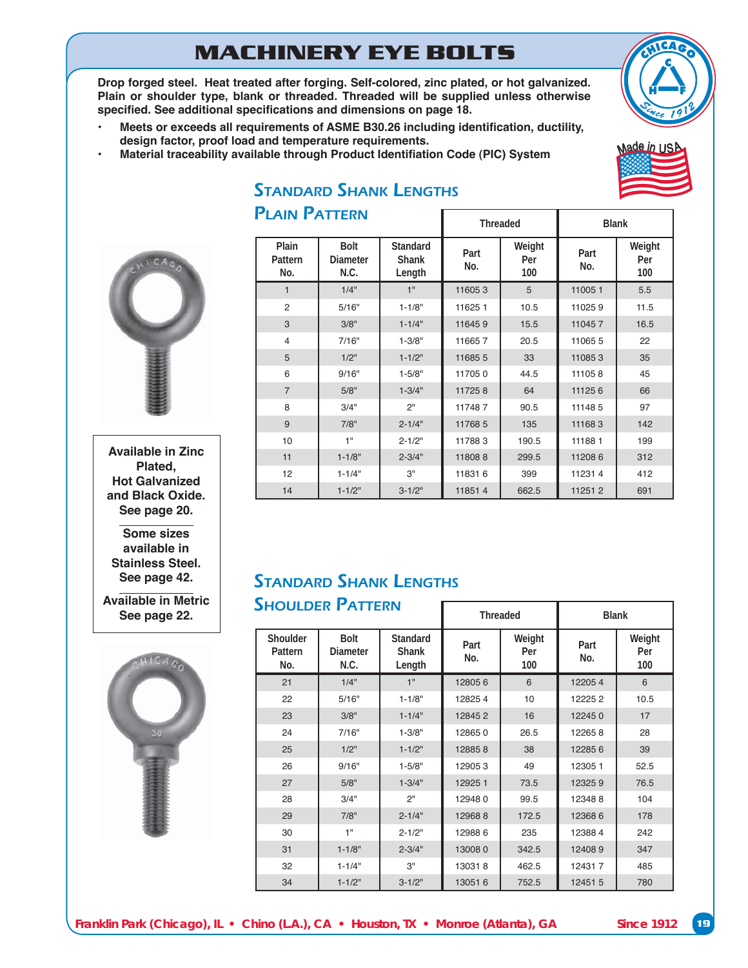# **MACHINERY EYE BOLTS**

Drop forged steel. Heat treated after forging. Self-colored, zinc plated, or hot galvanized. Plain or shoulder type, blank or threaded. Threaded will be supplied unless otherwise specified. See additional specifications and dimensions on page 18.

- **Meets or exceeds all requirements of ASME B30.26 including identification, ductility,** design factor, proof load and temperature requirements.
- **Material traceability available through Product Identifiation Code (PIC) System**

PLAIN PATTERN





**Available in Zinc Plated, Hot Galvanized** and Black Oxide. See page 20.

**Some sizes available in Stainless Steel.**  See page 42.

**Available in Metric See page 22.**



| <b>PLAIN PATTERN</b>    |                                        |                                    | <b>Threaded</b> |                      | <b>Blank</b> |                      |
|-------------------------|----------------------------------------|------------------------------------|-----------------|----------------------|--------------|----------------------|
| Plain<br>Pattern<br>No. | <b>Bolt</b><br><b>Diameter</b><br>N.C. | Standard<br><b>Shank</b><br>Length | Part<br>No.     | Weight<br>Per<br>100 | Part<br>No.  | Weight<br>Per<br>100 |
| $\mathbf{1}$            | 1/4"                                   | 1"                                 | 116053          | 5                    | 110051       | 5.5                  |
| 2                       | 5/16"                                  | $1 - 1/8"$                         | 11625 1         | 10.5                 | 110259       | 11.5                 |
| 3                       | 3/8"                                   | $1 - 1/4"$                         | 116459          | 15.5                 | 110457       | 16.5                 |
| $\overline{4}$          | 7/16"                                  | $1 - 3/8"$                         | 116657          | 20.5                 | 110655       | 22                   |
| 5                       | 1/2"                                   | $1 - 1/2"$                         | 116855          | 33                   | 110853       | 35                   |
| 6                       | 9/16"                                  | $1 - 5/8"$                         | 117050          | 44.5                 | 111058       | 45                   |
| $\overline{7}$          | 5/8"                                   | $1 - 3/4"$                         | 117258          | 64                   | 111256       | 66                   |
| 8                       | 3/4"                                   | 2"                                 | 117487          | 90.5                 | 111485       | 97                   |
| 9                       | 7/8"                                   | $2 - 1/4"$                         | 11768 5         | 135                  | 111683       | 142                  |
| 10                      | 1"                                     | $2 - 1/2"$                         | 117883          | 190.5                | 111881       | 199                  |
| 11                      | $1 - 1/8"$                             | $2 - 3/4"$                         | 118088          | 299.5                | 112086       | 312                  |
| 12                      | $1 - 1/4"$                             | 3"                                 | 118316          | 399                  | 112314       | 412                  |
| 14                      | $1 - 1/2"$                             | $3 - 1/2"$                         | 118514          | 662.5                | 112512       | 691                  |

 $\Box$ 

# STANDARD SHANK LENGTHS

#### STANDARD SHANK LENGTHS SHOULDER PATTERN

|                            | JIIUULDEN I AIIENN                     |                                    | <b>Threaded</b> |                      | <b>Blank</b> |                      |
|----------------------------|----------------------------------------|------------------------------------|-----------------|----------------------|--------------|----------------------|
| Shoulder<br>Pattern<br>No. | <b>Bolt</b><br><b>Diameter</b><br>N.C. | Standard<br><b>Shank</b><br>Length | Part<br>No.     | Weight<br>Per<br>100 | Part<br>No.  | Weight<br>Per<br>100 |
| 21                         | 1/4"                                   | 1"                                 | 128056          | 6                    | 122054       | 6                    |
| 22                         | 5/16"                                  | $1 - 1/8"$                         | 128254          | 10                   | 122252       | 10.5                 |
| 23                         | 3/8"                                   | $1 - 1/4"$                         | 128452          | 16                   | 122450       | 17                   |
| 24                         | 7/16"                                  | $1 - 3/8"$                         | 128650          | 26.5                 | 122658       | 28                   |
| 25                         | 1/2"                                   | $1 - 1/2"$                         | 128858          | 38                   | 122856       | 39                   |
| 26                         | 9/16"                                  | $1 - 5/8"$                         | 129053          | 49                   | 12305 1      | 52.5                 |
| 27                         | 5/8"                                   | $1 - 3/4"$                         | 129251          | 73.5                 | 123259       | 76.5                 |
| 28                         | 3/4"                                   | 2"                                 | 129480          | 99.5                 | 123488       | 104                  |
| 29                         | 7/8"                                   | $2 - 1/4"$                         | 129688          | 172.5                | 123686       | 178                  |
| 30                         | 1"                                     | $2 - 1/2"$                         | 129886          | 235                  | 123884       | 242                  |
| 31                         | $1 - 1/8"$                             | $2 - 3/4"$                         | 130080          | 342.5                | 124089       | 347                  |
| 32                         | $1 - 1/4"$                             | 3"                                 | 130318          | 462.5                | 124317       | 485                  |
| 34                         | $1 - 1/2"$                             | $3 - 1/2"$                         | 130516          | 752.5                | 12451 5      | 780                  |

H

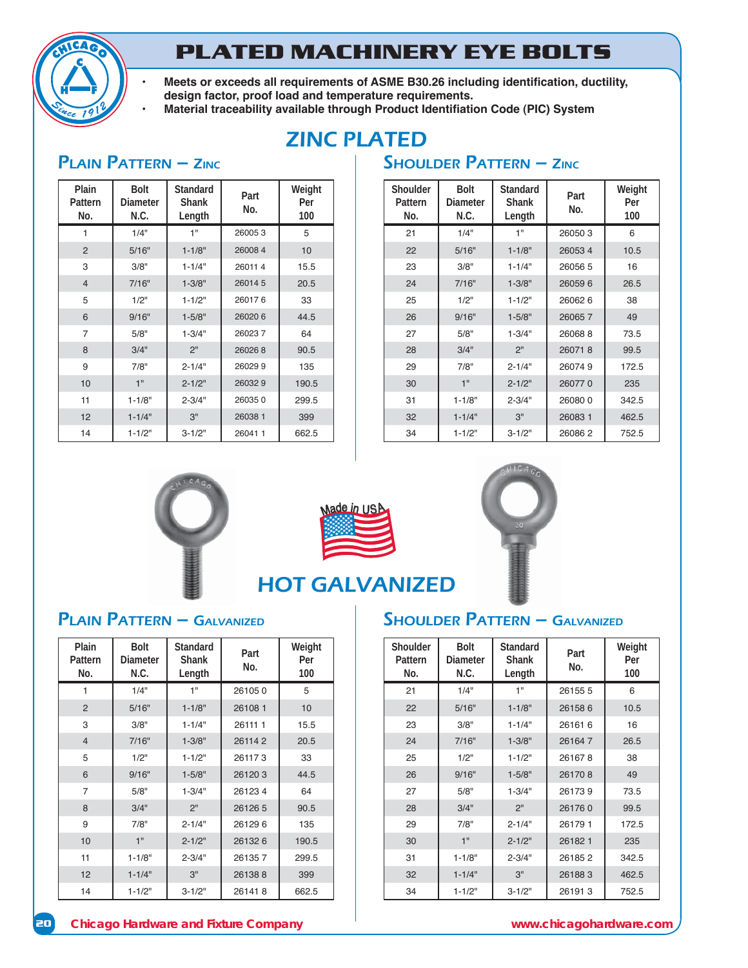

# **PLATED MACHINERY EYE BOLTS**

- **Meets or exceeds all requirements of ASME B30.26 including identification, ductility,** design factor, proof load and temperature requirements.
	- **Material traceability available through Product Identifiation Code (PIC) System**

# ZINC PLATED

## PLAIN PATTERN – ZINC SHOULDER PATTERN – ZINC

| Plain<br>Pattern<br>No. | Bolt<br><b>Diameter</b><br>N.C. | Standard<br>Shank<br>Length | Part<br>No. |       |
|-------------------------|---------------------------------|-----------------------------|-------------|-------|
| 1                       | 1/4"                            | 1"                          | 260053      | 5     |
| 2                       | 5/16"                           | $1 - 1/8"$                  | 260084      | 10    |
| 3                       | 3/8"                            | $1 - 1/4"$                  | 260114      | 15.5  |
| $\overline{4}$          | 7/16"                           | $1 - 3/8"$                  | 260145      | 20.5  |
| 5                       | 1/2"                            | $1 - 1/2"$                  | 260176      | 33    |
| 6                       | 9/16"                           | $1 - 5/8"$                  | 260206      | 44.5  |
| $\overline{7}$          | 5/8"                            | $1 - 3/4"$                  | 260237      | 64    |
| 8                       | 3/4"                            | 2 <sup>11</sup>             | 260268      | 90.5  |
| 9                       | 7/8"                            | $2 - 1/4"$                  | 260299      | 135   |
| 10                      | 1"                              | $2 - 1/2"$                  | 260329      | 190.5 |
| 11                      | $1 - 1/8"$                      | $2 - 3/4"$                  | 260350      | 299.5 |
| 12                      | $1 - 1/4"$                      | 3"                          | 26038 1     | 399   |
| 14                      | $1 - 1/2"$                      | $3 - 1/2"$                  | 260411      | 662.5 |

| Shoulder<br>Pattern<br>No. | <b>Bolt</b><br><b>Diameter</b><br>N.C. | Standard<br><b>Shank</b><br>Length | Part<br>No. | Weight<br>Per<br>100 |
|----------------------------|----------------------------------------|------------------------------------|-------------|----------------------|
| 21                         | 1/4"                                   | 1"                                 | 260503      | 6                    |
| 22                         | 5/16"                                  | $1 - 1/8"$                         | 260534      | 10.5                 |
| 23                         | 3/8"                                   | $1 - 1/4"$                         | 260565      | 16                   |
| 24                         | 7/16"                                  | $1 - 3/8"$                         | 260596      | 26.5                 |
| 25                         | 1/2"                                   | $1 - 1/2"$                         | 260626      | 38                   |
| 26                         | 9/16"                                  | $1 - 5/8"$                         | 260657      | 49                   |
| 27                         | 5/8"                                   | $1 - 3/4"$                         | 260688      | 73.5                 |
| 28                         | 3/4"                                   | 2 <sup>11</sup>                    | 260718      | 99.5                 |
| 29                         | 7/8"                                   | $2 - 1/4"$                         | 260749      | 172.5                |
| 30                         | 1"                                     | $2 - 1/2"$                         | 260770      | 235                  |
| 31                         | $1 - 1/8"$                             | $2 - 3/4"$                         | 260800      | 342.5                |
| 32                         | $1 - 1/4"$                             | 3"                                 | 260831      | 462.5                |
| 34                         | $1 - 1/2"$                             | $3 - 1/2"$                         | 260862      | 752.5                |







# HOT GALVANIZED

| Plain<br>Pattern<br>No. | <b>Bolt</b><br>Diameter<br>N.C. | Standard<br><b>Shank</b><br>Length | Part<br>No. | Weight<br>Per<br>100 |
|-------------------------|---------------------------------|------------------------------------|-------------|----------------------|
| 1                       | 1/4"                            | 1"                                 | 261050      | 5                    |
| 2                       | 5/16"                           | $1 - 1/8"$                         | 261081      | 10                   |
| 3                       | 3/8"                            | $1 - 1/4"$                         | 26111 1     | 15.5                 |
| $\overline{4}$          | 7/16"                           | $1 - 3/8"$                         | 261142      | 20.5                 |
| 5                       | 1/2"                            | $1 - 1/2"$                         | 261173      | 33                   |
| 6                       | 9/16"                           | $1 - 5/8"$                         | 261203      | 44.5                 |
| $\overline{7}$          | 5/8"                            | $1 - 3/4"$                         | 261234      | 64                   |
| 8                       | 3/4"                            | 2"                                 | 261265      | 90.5                 |
| 9                       | 7/8"                            | $2 - 1/4"$                         | 261296      | 135                  |
| 10                      | 1"                              | $2 - 1/2"$                         | 261326      | 190.5                |
| 11                      | $1 - 1/8"$                      | $2 - 3/4"$                         | 261357      | 299.5                |
| 12                      | $1 - 1/4"$                      | 3"                                 | 261388      | 399                  |
| 14                      | $1 - 1/2"$                      | $3 - 1/2"$                         | 261418      | 662.5                |

## PLAIN PATTERN – GALVANIZED SHOULDER PATTERN – GALVANIZED

| Shoulder<br>Pattern<br>No. | <b>Bolt</b><br>Diameter<br>N.C. | Standard<br>Shank<br>Length | Part<br>No. | Weight<br>Per<br>100 |
|----------------------------|---------------------------------|-----------------------------|-------------|----------------------|
| 21                         | 1/4"                            | 1"                          | 261555      | 6                    |
| 22                         | 5/16"                           | $1 - 1/8"$                  | 261586      | 10.5                 |
| 23                         | 3/8"                            | $1 - 1/4"$                  | 261616      | 16                   |
| 24                         | 7/16"                           | $1 - 3/8"$                  | 261647      | 26.5                 |
| 25                         | 1/2"                            | $1 - 1/2"$                  | 261678      | 38                   |
| 26                         | 9/16"                           | $1 - 5/8"$                  | 261708      | 49                   |
| 27                         | 5/8"                            | $1 - 3/4"$                  | 261739      | 73.5                 |
| 28                         | 3/4"                            | 2 <sup>11</sup>             | 261760      | 99.5                 |
| 29                         | 7/8"                            | $2 - 1/4"$                  | 261791      | 172.5                |
| 30                         | 1"                              | $2 - 1/2"$                  | 261821      | 235                  |
| 31                         | $1 - 1/8"$                      | $2 - 3/4"$                  | 261852      | 342.5                |
| 32                         | $1 - 1/4"$                      | 3"                          | 261883      | 462.5                |
| 34                         | $1 - 1/2"$                      | $3 - 1/2"$                  | 261913      | 752.5                |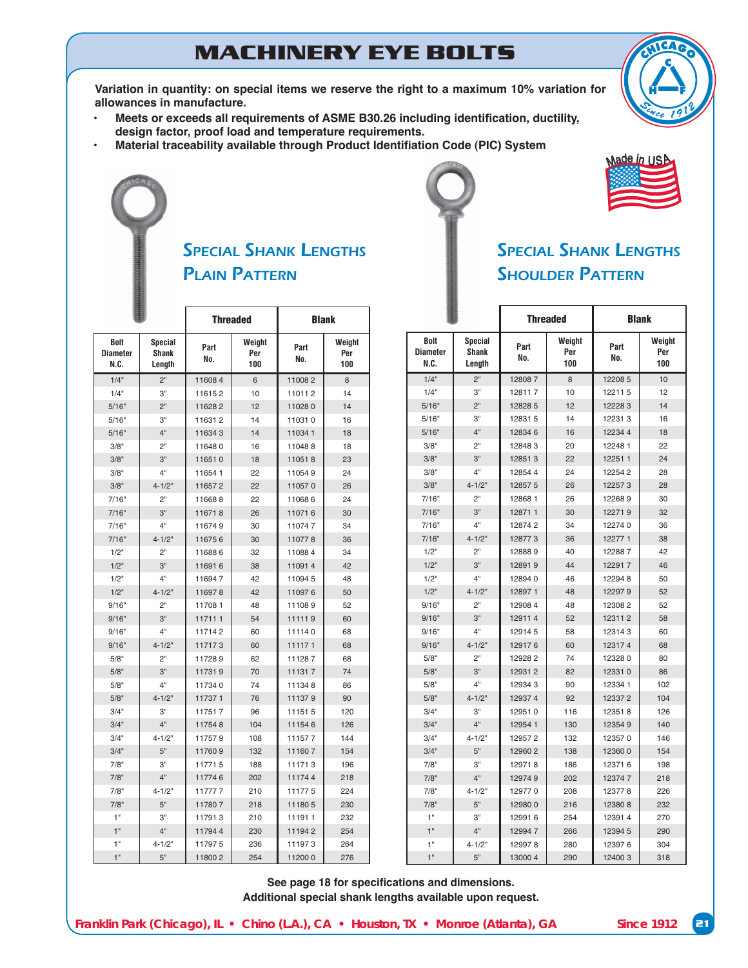# **MACHINERY EYE BOLTS**

Variation in quantity: on special items we reserve the right to a maximum 10% variation for allowances in manufacture.

- **Meets or exceeds all requirements of ASME B30.26 including identification, ductility,** design factor, proof load and temperature requirements.
- Material traceability available through Product Identifiation Code (PIC) System



| <b>SPECIAL SHANK LENGTHS</b> |  |
|------------------------------|--|
| <b>SHOULDER PATTERN</b>      |  |

|                                        |                                   | <b>Threaded</b>                     |     | <b>Blank</b> |                      |  |
|----------------------------------------|-----------------------------------|-------------------------------------|-----|--------------|----------------------|--|
| <b>Bolt</b><br><b>Diameter</b><br>N.C. | <b>Special</b><br>Shank<br>Length | Weight<br>Part<br>Per<br>No.<br>100 |     | Part<br>No.  | Weight<br>Per<br>100 |  |
| 1/4"                                   | 2"                                | 116084                              | 6   | 110082       | 8                    |  |
| 1/4"                                   | 3"                                | 116152                              | 10  | 110112       | 14                   |  |
| 5/16"                                  | 2"                                | 116282                              | 12  | 110280       | 14                   |  |
| 5/16"                                  | 3"                                | 116312                              | 14  | 110310       | 16                   |  |
| 5/16"                                  | 4"                                | 116343                              | 14  | 110341       | 18                   |  |
| 3/8"                                   | 2"                                | 116480                              | 16  | 110488       | 18                   |  |
| 3/8"                                   | 3"                                | 116510                              | 18  | 110518       | 23                   |  |
| 3/8"                                   | 4"                                | 116541                              | 22  | 110549       | 24                   |  |
| 3/8"                                   | $4 - 1/2"$                        | 116572                              | 22  | 110570       | 26                   |  |
| 7/16"                                  | 2"                                | 116688                              | 22  | 110686       | 24                   |  |
| 7/16"                                  | 3"                                | 116718                              | 26  | 110716       | 30                   |  |
| 7/16"                                  | 4"                                | 116749                              | 30  | 110747       | 34                   |  |
| 7/16"                                  | $4 - 1/2"$                        | 116756                              | 30  | 110778       | 36                   |  |
| 1/2"                                   | 2"                                | 116886                              | 32  | 110884       | 34                   |  |
| $1/2$ "                                | 3"                                | 116916                              | 38  | 110914       | 42                   |  |
| $1/2$ "                                | 4"                                | 116947                              | 42  | 110945       | 48                   |  |
| 1/2"                                   | $4 - 1/2"$                        | 116978                              | 42  | 110976       | 50                   |  |
| 9/16"                                  | 2"                                | 117081                              | 48  | 111089       | 52                   |  |
| 9/16"                                  | 3"                                | 117111                              | 54  | 111119       | 60                   |  |
| 9/16"                                  | 4"                                | 117142                              | 60  | 111140       | 68                   |  |
| 9/16"                                  | $4 - 1/2"$                        | 117173                              | 60  | 111171       | 68                   |  |
| 5/8"                                   | 2"                                | 117289                              | 62  | 111287       | 68                   |  |
| 5/8"                                   | 3"                                | 117319                              | 70  | 111317       | 74                   |  |
| 5/8"                                   | 4"                                | 117340                              | 74  | 111348       | 86                   |  |
| 5/8"                                   | $4 - 1/2"$                        | 117371                              | 76  | 111379       | 90                   |  |
| 3/4"                                   | 3"                                | 117517                              | 96  | 111515       | 120                  |  |
| 3/4"                                   | 4"                                | 117548                              | 104 | 111546       | 126                  |  |
| 3/4"                                   | $4 - 1/2"$                        | 117579                              | 108 | 111577       | 144                  |  |
| 3/4"                                   | 5"                                | 117609                              | 132 | 111607       | 154                  |  |
| 7/8"                                   | З"                                | 117715                              | 188 | 111713       | 196                  |  |
| 7/8"                                   | 4"                                | 117746                              | 202 | 111744       | 218                  |  |
| 7/8"                                   | $4 - 1/2"$                        | 117777                              | 210 | 111775       | 224                  |  |
| 7/8"                                   | 5"                                | 117807                              | 218 | 111805       | 230                  |  |
| 1"                                     | З"                                | 117913                              | 210 | 111911       | 232                  |  |
| 1"                                     | 4"                                | 117944                              | 230 | 111942       | 254                  |  |
| 1"                                     | $4 - 1/2"$                        | 117975                              | 236 | 111973       | 264                  |  |
| 1 <sup>0</sup>                         | 5"                                | 118002                              | 254 | 112000       | 276                  |  |

|                                        |                                   |             | <b>Threaded</b>      | <b>Blank</b> |                      |  |
|----------------------------------------|-----------------------------------|-------------|----------------------|--------------|----------------------|--|
| <b>Bolt</b><br><b>Diameter</b><br>N.C. | Special<br><b>Shank</b><br>Length | Part<br>No. | Weight<br>Per<br>100 | Part<br>No.  | Weight<br>Per<br>100 |  |
| 1/4"                                   | 2"                                | 128087      | 8                    | 12208 5      | 10                   |  |
| 1/4"                                   | 3"                                | 128117      | 10                   | 122115       | 12                   |  |
| 5/16"                                  | 2"                                | 12828 5     | 12                   | 122283       | 14                   |  |
| 5/16"                                  | 3"                                | 128315      | 14                   | 122313       | 16                   |  |
| 5/16"                                  | 4"                                | 128346      | 16                   | 122344       | 18                   |  |
| 3/8"                                   | 2"                                | 128483      | 20                   | 12248 1      | 22                   |  |
| 3/8"                                   | 3"                                | 128513      | 22                   | 122511       | 24                   |  |
| 3/8"                                   | 4"                                | 128544      | 24                   | 122542       | 28                   |  |
| 3/8"                                   | $4 - 1/2"$                        | 128575      | 26                   | 122573       | 28                   |  |
| 7/16"                                  | 2"                                | 128681      | 26                   | 122689       | 30                   |  |
| 7/16"                                  | 3"                                | 128711      | 30                   | 122719       | 32                   |  |
| 7/16"                                  | 4"                                | 128742      | 34                   | 122740       | 36                   |  |
| 7/16"                                  | $4 - 1/2"$                        | 128773      | 36                   | 122771       | 38                   |  |
| 1/2"                                   | 2"                                | 128889      | 40                   | 122887       | 42                   |  |
| 1/2"                                   | 3"                                | 128919      | 44                   | 122917       | 46                   |  |
| 1/2"                                   | 4"                                | 128940      | 46                   | 122948       | 50                   |  |
| 1/2"                                   | $4 - 1/2"$                        | 128971      | 48                   | 122979       | 52                   |  |
| 9/16"                                  | 2"                                | 129084      | 48                   | 123082       | 52                   |  |
| 9/16"                                  | 3"                                | 129114      | 52                   | 123112       | 58                   |  |
| 9/16"                                  | 4"                                | 129145      | 58                   | 123143       | 60                   |  |
| 9/16"                                  | $4 - 1/2"$                        | 129176      | 60                   | 123174       | 68                   |  |
| 5/8"                                   | 2"                                | 129282      | 74                   | 123280       | 80                   |  |
| 5/8"                                   | 3"                                | 129312      | 82                   | 123310       | 86                   |  |
| 5/8"                                   | 4"                                | 129343      | 90                   | 12334 1      | 102                  |  |
| 5/8"                                   | $4 - 1/2"$                        | 129374      | 92                   | 123372       | 104                  |  |
| 3/4"                                   | 3"                                | 129510      | 116                  | 123518       | 126                  |  |
| 3/4"                                   | 4"                                | 12954 1     | 130                  | 123549       | 140                  |  |
| 3/4"                                   | $4 - 1/2"$                        | 129572      | 132                  | 123570       | 146                  |  |
| 3/4"                                   | 5"                                | 129602      | 138                  | 123600       | 154                  |  |
| 7/8"                                   | З"                                | 129718      | 186                  | 123716       | 198                  |  |
| 7/8"                                   | 4"                                | 129749      | 202                  | 123747       | 218                  |  |
| 7/8"                                   | $4 - 1/2"$                        | 129770      | 208                  | 123778       | 226                  |  |
| 7/8"                                   | 5"                                | 129800      | 216                  | 123808       | 232                  |  |
| 1"                                     | 3"                                | 129916      | 254                  | 123914       | 270                  |  |
| 1"                                     | 4"                                | 129947      | 266                  | 123945       | 290                  |  |
| 1"                                     | $4 - 1/2"$                        | 129978      | 280                  | 123976       | 304                  |  |
| 1"                                     | 5"                                | 130004      | 290                  | 124003       | 318                  |  |

See page 18 for specifications and dimensions. **Additional special shank lengths available upon request.**

*Franklin Park (Chicago), IL • Chino (L.A.), CA • Houston, TX • Monroe (Atlanta), GA* Since 1912 **21** 



lade in <sub>US</sub>